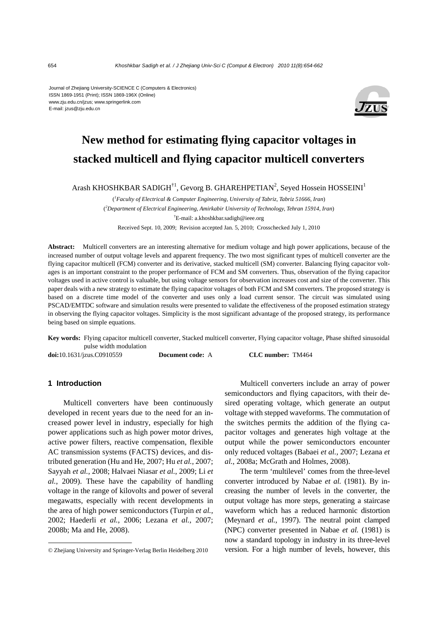Journal of Zhejiang University-SCIENCE C (Computers & Electronics) ISSN 1869-1951 (Print); ISSN 1869-196X (Online) www.zju.edu.cn/jzus; www.springerlink.com E-mail: jzus@zju.edu.cn



# **New method for estimating flying capacitor voltages in stacked multicell and flying capacitor multicell converters**

Arash KHOSHKBAR SADIGH<sup>†1</sup>, Gevorg B. GHAREHPETIAN<sup>2</sup>, Seyed Hossein HOSSEINI<sup>1</sup>

( *1 Faculty of Electrical & Computer Engineering, University of Tabriz, Tabriz 51666, Iran*) ( *2 Department of Electrical Engineering, Amirkabir University of Technology, Tehran 15914, Iran*) † E-mail: a.khoshkbar.sadigh@ieee.org Received Sept. 10, 2009; Revision accepted Jan. 5, 2010; Crosschecked July 1, 2010

**Abstract:** Multicell converters are an interesting alternative for medium voltage and high power applications, because of the increased number of output voltage levels and apparent frequency. The two most significant types of multicell converter are the flying capacitor multicell (FCM) converter and its derivative, stacked multicell (SM) converter. Balancing flying capacitor voltages is an important constraint to the proper performance of FCM and SM converters. Thus, observation of the flying capacitor voltages used in active control is valuable, but using voltage sensors for observation increases cost and size of the converter. This paper deals with a new strategy to estimate the flying capacitor voltages of both FCM and SM converters. The proposed strategy is based on a discrete time model of the converter and uses only a load current sensor. The circuit was simulated using PSCAD/EMTDC software and simulation results were presented to validate the effectiveness of the proposed estimation strategy in observing the flying capacitor voltages. Simplicity is the most significant advantage of the proposed strategy, its performance being based on simple equations.

**Key words:** Flying capacitor multicell converter, Stacked multicell converter, Flying capacitor voltage, Phase shifted sinusoidal pulse width modulation **doi:**10.1631/jzus.C0910559 **Document code:** A **CLC number:** TM464

# **1 Introduction**

Multicell converters have been continuously developed in recent years due to the need for an increased power level in industry, especially for high power applications such as high power motor drives, active power filters, reactive compensation, flexible AC transmission systems (FACTS) devices, and distributed generation (Hu and He, 2007; Hu *et al.*, 2007; Sayyah *et al.*, 2008; Halvaei Niasar *et al.*, 2009; Li *et al.*, 2009). These have the capability of handling voltage in the range of kilovolts and power of several megawatts, especially with recent developments in the area of high power semiconductors (Turpin *et al.*, 2002; Haederli *et al.*, 2006; Lezana *et al.*, 2007; 2008b; Ma and He, 2008).

Multicell converters include an array of power semiconductors and flying capacitors, with their desired operating voltage, which generate an output voltage with stepped waveforms. The commutation of the switches permits the addition of the flying capacitor voltages and generates high voltage at the output while the power semiconductors encounter only reduced voltages (Babaei *et al.*, 2007; Lezana *et al.*, 2008a; McGrath and Holmes, 2008).

The term 'multilevel' comes from the three-level converter introduced by Nabae *et al.* (1981). By increasing the number of levels in the converter, the output voltage has more steps, generating a staircase waveform which has a reduced harmonic distortion (Meynard *et al.*, 1997). The neutral point clamped (NPC) converter presented in Nabae *et al.* (1981) is now a standard topology in industry in its three-level version. For a high number of levels, however, this

<sup>©</sup> Zhejiang University and Springer-Verlag Berlin Heidelberg 2010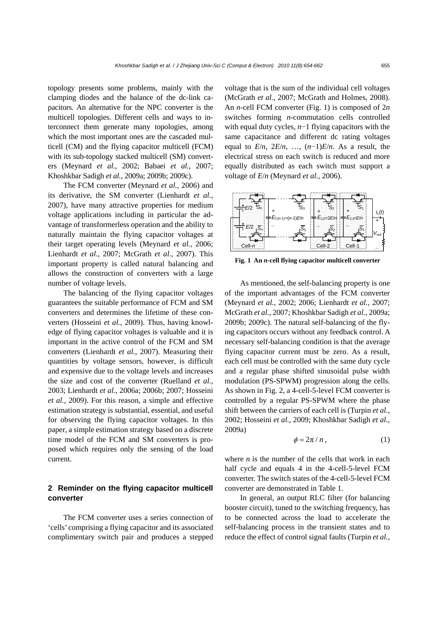topology presents some problems, mainly with the clamping diodes and the balance of the dc-link capacitors. An alternative for the NPC converter is the multicell topologies. Different cells and ways to interconnect them generate many topologies, among which the most important ones are the cascaded multicell (CM) and the flying capacitor multicell (FCM) with its sub-topology stacked multicell (SM) converters (Meynard *et al.*, 2002; Babaei *et al.*, 2007; Khoshkbar Sadigh *et al.*, 2009a; 2009b; 2009c).

The FCM converter (Meynard *et al.*, 2006) and its derivative, the SM converter (Lienhardt *et al.*, 2007), have many attractive properties for medium voltage applications including in particular the advantage of transformerless operation and the ability to naturally maintain the flying capacitor voltages at their target operating levels (Meynard *et al.*, 2006; Lienhardt *et al.*, 2007; McGrath *et al.*, 2007). This important property is called natural balancing and allows the construction of converters with a large number of voltage levels.

The balancing of the flying capacitor voltages guarantees the suitable performance of FCM and SM converters and determines the lifetime of these converters (Hosseini *et al.*, 2009). Thus, having knowledge of flying capacitor voltages is valuable and it is important in the active control of the FCM and SM converters (Lienhardt *et al.*, 2007). Measuring their quantities by voltage sensors, however, is difficult and expensive due to the voltage levels and increases the size and cost of the converter (Ruelland *et al.*, 2003; Lienhardt *et al.*, 2006a; 2006b; 2007; Hosseini *et al.*, 2009). For this reason, a simple and effective estimation strategy is substantial, essential, and useful for observing the flying capacitor voltages. In this paper, a simple estimation strategy based on a discrete time model of the FCM and SM converters is proposed which requires only the sensing of the load current.

# **2 Reminder on the flying capacitor multicell converter**

The FCM converter uses a series connection of 'cells' comprising a flying capacitor and its associated complimentary switch pair and produces a stepped voltage that is the sum of the individual cell voltages (McGrath *et al.*, 2007; McGrath and Holmes, 2008). An *n*-cell FCM converter (Fig. 1) is composed of 2*n* switches forming *n*-commutation cells controlled with equal duty cycles, *n*−1 flying capacitors with the same capacitance and different dc rating voltages equal to  $E/n$ ,  $2E/n$ , ...,  $(n-1)E/n$ . As a result, the electrical stress on each switch is reduced and more equally distributed as each switch must support a voltage of *E*/*n* (Meynard *et al.*, 2006).



**Fig. 1 An** *n***-cell flying capacitor multicell converter** 

As mentioned, the self-balancing property is one of the important advantages of the FCM converter (Meynard *et al.*, 2002; 2006; Lienhardt *et al.*, 2007; McGrath *et al.*, 2007; Khoshkbar Sadigh *et al.*, 2009a; 2009b; 2009c). The natural self-balancing of the flying capacitors occurs without any feedback control. A necessary self-balancing condition is that the average flying capacitor current must be zero. As a result, each cell must be controlled with the same duty cycle and a regular phase shifted sinusoidal pulse width modulation (PS-SPWM) progression along the cells. As shown in Fig. 2, a 4-cell-5-level FCM converter is controlled by a regular PS-SPWM where the phase shift between the carriers of each cell is (Turpin *et al.*, 2002; Hosseini *et al.*, 2009; Khoshkbar Sadigh *et al.*, 2009a)

$$
\phi = 2\pi / n \,, \tag{1}
$$

where  $n$  is the number of the cells that work in each half cycle and equals 4 in the 4-cell-5-level FCM converter. The switch states of the 4-cell-5-level FCM converter are demonstrated in Table 1.

In general, an output RLC filter (for balancing booster circuit), tuned to the switching frequency, has to be connected across the load to accelerate the self-balancing process in the transient states and to reduce the effect of control signal faults (Turpin *et al.*,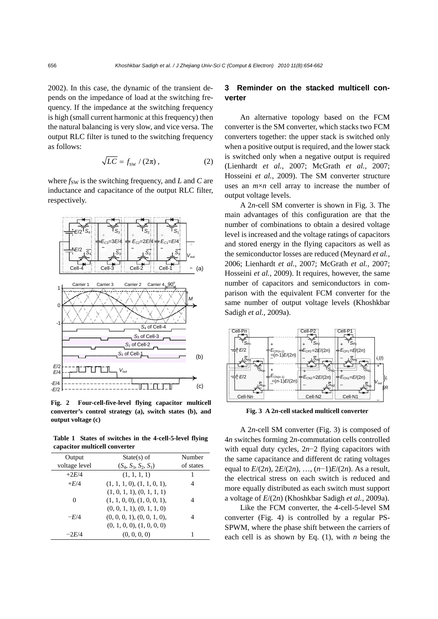2002). In this case, the dynamic of the transient depends on the impedance of load at the switching frequency. If the impedance at the switching frequency is high (small current harmonic at this frequency) then the natural balancing is very slow, and vice versa. The output RLC filter is tuned to the switching frequency as follows:

$$
\sqrt{LC} = f_{\rm sw} / (2\pi) , \qquad (2)
$$

where  $f_{SW}$  is the switching frequency, and  $L$  and  $C$  are inductance and capacitance of the output RLC filter, respectively.



**Fig. 2 Four-cell-five-level flying capacitor multicell converter's control strategy (a), switch states (b), and output voltage (c)** 

**Table 1 States of switches in the 4-cell-5-level flying capacitor multicell converter** 

| Output        | $State(s)$ of               | Number    |
|---------------|-----------------------------|-----------|
| voltage level | $(S_4, S_3, S_2, S_1)$      | of states |
| $+2E/4$       | (1, 1, 1, 1)                | 1         |
| $+E/4$        | (1, 1, 1, 0), (1, 1, 0, 1), | 4         |
|               | (1, 0, 1, 1), (0, 1, 1, 1)  |           |
| 0             | (1, 1, 0, 0), (1, 0, 0, 1), | 4         |
|               | (0, 0, 1, 1), (0, 1, 1, 0)  |           |
| $-F/4$        | (0, 0, 0, 1), (0, 0, 1, 0), |           |
|               | (0, 1, 0, 0), (1, 0, 0, 0)  |           |
| $-2E/4$       | (0, 0, 0, 0)                |           |

# **3 Reminder on the stacked multicell converter**

An alternative topology based on the FCM converter is the SM converter, which stacks two FCM converters together: the upper stack is switched only when a positive output is required, and the lower stack is switched only when a negative output is required (Lienhardt *et al.*, 2007; McGrath *et al.*, 2007; Hosseini *et al.*, 2009). The SM converter structure uses an  $m \times n$  cell array to increase the number of output voltage levels.

A 2*n*-cell SM converter is shown in Fig. 3. The main advantages of this configuration are that the number of combinations to obtain a desired voltage level is increased and the voltage ratings of capacitors and stored energy in the flying capacitors as well as the semiconductor losses are reduced (Meynard *et al.*, 2006; Lienhardt *et al.*, 2007; McGrath *et al.*, 2007; Hosseini *et al.*, 2009). It requires, however, the same number of capacitors and semiconductors in comparison with the equivalent FCM converter for the same number of output voltage levels (Khoshkbar Sadigh *et al.*, 2009a).



**Fig. 3 A 2***n***-cell stacked multicell converter** 

A 2*n*-cell SM converter (Fig. 3) is composed of 4*n* switches forming 2*n*-commutation cells controlled with equal duty cycles, 2*n*−2 flying capacitors with the same capacitance and different dc rating voltages equal to *E*/(2*n*), 2*E*/(2*n*), …, (*n*−1)*E*/(2*n*). As a result, the electrical stress on each switch is reduced and more equally distributed as each switch must support a voltage of *E*/(2*n*) (Khoshkbar Sadigh *et al.*, 2009a).

Like the FCM converter, the 4-cell-5-level SM converter (Fig. 4) is controlled by a regular PS-SPWM, where the phase shift between the carriers of each cell is as shown by Eq. (1), with *n* being the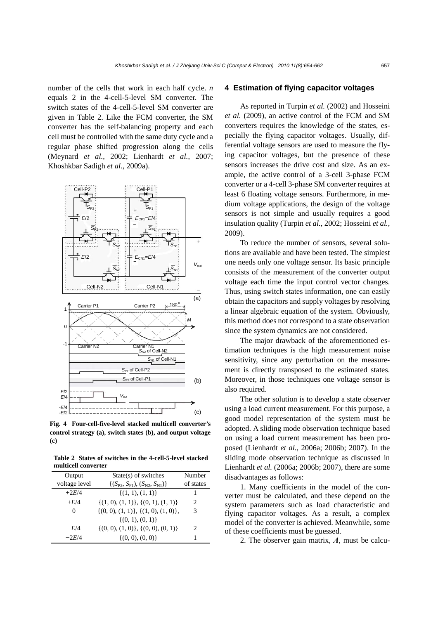number of the cells that work in each half cycle. *n* equals 2 in the 4-cell-5-level SM converter. The switch states of the 4-cell-5-level SM converter are given in Table 2. Like the FCM converter, the SM converter has the self-balancing property and each cell must be controlled with the same duty cycle and a regular phase shifted progression along the cells (Meynard *et al.*, 2002; Lienhardt *et al.*, 2007; Khoshkbar Sadigh *et al.*, 2009a).



**Fig. 4 Four-cell-five-level stacked multicell converter's control strategy (a), switch states (b), and output voltage (c)** 

**Table 2 States of switches in the 4-cell-5-level stacked multicell converter** 

| Output        | State(s) of switches                       | Number                        |
|---------------|--------------------------------------------|-------------------------------|
| voltage level | $\{(S_{P2}, S_{P1}), (S_{N2}, S_{N1})\}\$  | of states                     |
| $+2E/4$       | $\{(1, 1), (1, 1)\}\$                      | ı                             |
| $+E/4$        | $\{(1, 0), (1, 1)\}, \{(0, 1), (1, 1)\}\$  | 2                             |
| 0             | $\{(0, 0), (1, 1)\}, \{(1, 0), (1, 0)\},\$ | 3                             |
|               | $\{(0, 1), (0, 1)\}\$                      |                               |
| $-F/4$        | $\{(0, 0), (1, 0)\}, \{(0, 0), (0, 1)\}\$  | $\mathfrak{D}_{\mathfrak{p}}$ |
| $-2E/4$       | $\{(0, 0), (0, 0)\}\$                      | 1                             |

#### **4 Estimation of flying capacitor voltages**

As reported in Turpin *et al.* (2002) and Hosseini *et al.* (2009), an active control of the FCM and SM converters requires the knowledge of the states, especially the flying capacitor voltages. Usually, differential voltage sensors are used to measure the flying capacitor voltages, but the presence of these sensors increases the drive cost and size. As an example, the active control of a 3-cell 3-phase FCM converter or a 4-cell 3-phase SM converter requires at least 6 floating voltage sensors. Furthermore, in medium voltage applications, the design of the voltage sensors is not simple and usually requires a good insulation quality (Turpin *et al.*, 2002; Hosseini *et al.*, 2009).

To reduce the number of sensors, several solutions are available and have been tested. The simplest one needs only one voltage sensor. Its basic principle consists of the measurement of the converter output voltage each time the input control vector changes. Thus, using switch states information, one can easily obtain the capacitors and supply voltages by resolving a linear algebraic equation of the system. Obviously, this method does not correspond to a state observation since the system dynamics are not considered.

The major drawback of the aforementioned estimation techniques is the high measurement noise sensitivity, since any perturbation on the measurement is directly transposed to the estimated states. Moreover, in those techniques one voltage sensor is also required.

The other solution is to develop a state observer using a load current measurement. For this purpose, a good model representation of the system must be adopted. A sliding mode observation technique based on using a load current measurement has been proposed (Lienhardt *et al.*, 2006a; 2006b; 2007). In the sliding mode observation technique as discussed in Lienhardt *et al.* (2006a; 2006b; 2007), there are some disadvantages as follows:

1. Many coefficients in the model of the converter must be calculated, and these depend on the system parameters such as load characteristic and flying capacitor voltages. As a result, a complex model of the converter is achieved. Meanwhile, some of these coefficients must be guessed.

2. The observer gain matrix, *Λ*, must be calcu-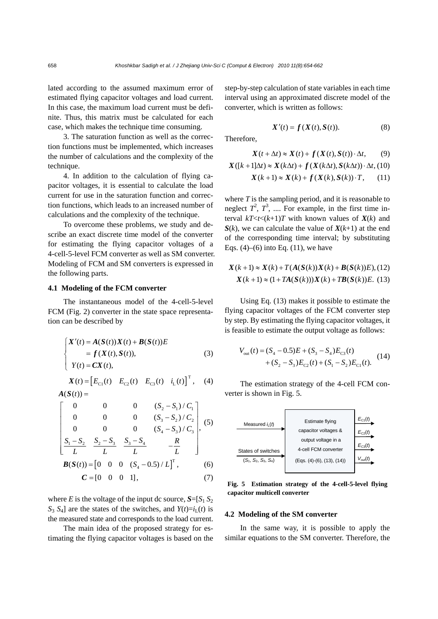lated according to the assumed maximum error of estimated flying capacitor voltages and load current. In this case, the maximum load current must be definite. Thus, this matrix must be calculated for each case, which makes the technique time consuming.

3. The saturation function as well as the correction functions must be implemented, which increases the number of calculations and the complexity of the technique.

4. In addition to the calculation of flying capacitor voltages, it is essential to calculate the load current for use in the saturation function and correction functions, which leads to an increased number of calculations and the complexity of the technique.

To overcome these problems, we study and describe an exact discrete time model of the converter for estimating the flying capacitor voltages of a 4-cell-5-level FCM converter as well as SM converter. Modeling of FCM and SM converters is expressed in the following parts.

#### **4.1 Modeling of the FCM converter**

The instantaneous model of the 4-cell-5-level FCM (Fig. 2) converter in the state space representation can be described by

$$
\begin{cases}\nX'(t) = A(S(t))X(t) + B(S(t))E \\
= f(X(t), S(t)), \\
Y(t) = CX(t),\n\end{cases}
$$
\n(3)

 $X(t) = [E_{C1}(t) \quad E_{C2}(t) \quad E_{C3}(t) \quad i_{L}(t)]^{T}$ , (4)  $A(S(t)) =$ 

$$
\begin{bmatrix}\n0 & 0 & 0 & (S_2 - S_1) / C_1 \\
0 & 0 & 0 & (S_3 - S_2) / C_2 \\
0 & 0 & 0 & (S_4 - S_3) / C_3\n\end{bmatrix}
$$
\n(5)

$$
\begin{bmatrix} S_1 - S_2 & S_2 - S_3 & S_3 - S_4 & -\frac{R}{L} \\ L & L & L & L \end{bmatrix}
$$
  

$$
\mathbf{B}(\mathbf{S}(t)) = \begin{bmatrix} 0 & 0 & 0 & (S_4 - 0.5) / L \end{bmatrix}^T,
$$
 (6)

$$
\mathbf{C} = \begin{bmatrix} 0 & 0 & 0 & 1 \end{bmatrix}, \tag{7}
$$

where *E* is the voltage of the input dc source,  $S = [S_1 S_2]$  $S_3$   $S_4$ ] are the states of the switches, and  $Y(t)=i_L(t)$  is the measured state and corresponds to the load current.

The main idea of the proposed strategy for estimating the flying capacitor voltages is based on the step-by-step calculation of state variables in each time interval using an approximated discrete model of the converter, which is written as follows:

$$
X'(t) = f(X(t), S(t)).
$$
 (8)

Therefore,

$$
X(t + \Delta t) \approx X(t) + f(X(t), S(t)) \cdot \Delta t, \qquad (9)
$$

$$
X([k+1]\Delta t) \approx X(k\Delta t) + f(X(k\Delta t), S(k\Delta t)) \cdot \Delta t, (10)
$$
  

$$
X(k+1) \approx X(k) + f(X(k), S(k)) \cdot T, (11)
$$

where *T* is the sampling period, and it is reasonable to neglect  $T^2$ ,  $T^3$ , .... For example, in the first time interval  $kT < t < (k+1)T$  with known values of  $X(k)$  and  $S(k)$ , we can calculate the value of  $X(k+1)$  at the end of the corresponding time interval; by substituting Eqs.  $(4)$ – $(6)$  into Eq.  $(11)$ , we have

$$
X(k+1) \approx X(k) + T(A(S(k))X(k) + B(S(k))E), (12)
$$
  

$$
X(k+1) \approx (1 + TA(S(k)))X(k) + TB(S(k))E.
$$
 (13)

Using Eq. (13) makes it possible to estimate the flying capacitor voltages of the FCM converter step by step. By estimating the flying capacitor voltages, it is feasible to estimate the output voltage as follows:

$$
V_{\text{out}}(t) = (S_4 - 0.5)E + (S_3 - S_4)E_{\text{C3}}(t) + (S_2 - S_3)E_{\text{C2}}(t) + (S_1 - S_2)E_{\text{C1}}(t).
$$
 (14)

The estimation strategy of the 4-cell FCM converter is shown in Fig. 5.



**Fig. 5 Estimation strategy of the 4-cell-5-level flying capacitor multicell converter** 

#### **4.2 Modeling of the SM converter**

In the same way, it is possible to apply the similar equations to the SM converter. Therefore, the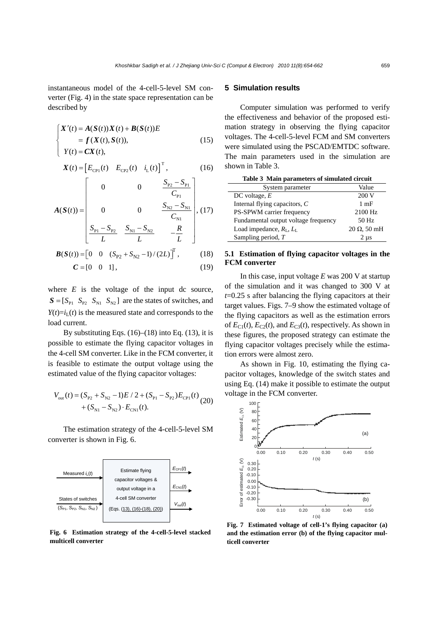instantaneous model of the 4-cell-5-level SM converter (Fig. 4) in the state space representation can be described by

$$
\begin{cases}\nX'(t) = A(S(t))X(t) + B(S(t))E \\
= f(X(t), S(t)), \\
Y(t) = CX(t),\n\end{cases}
$$
\n(15)

$$
X(t) = \begin{bmatrix} E_{\text{CP1}}(t) & E_{\text{CP2}}(t) & i_{\text{L}}(t) \end{bmatrix}^{\text{T}},
$$
 (16)

$$
A(S(t)) = \begin{bmatrix} 0 & 0 & \frac{S_{p_2} - S_{p_1}}{C_{p_1}} \\ 0 & 0 & \frac{S_{N2} - S_{N1}}{C_{N1}} \\ \frac{S_{p_1} - S_{p_2}}{L} & \frac{S_{N1} - S_{N2}}{L} & -\frac{R}{L} \end{bmatrix}, (17)
$$

$$
\mathbf{B}(S(t)) = \begin{bmatrix} 0 & 0 & (S_{P2} + S_{N2} - 1) / (2L) \end{bmatrix}^t, \quad (18)
$$
  

$$
\mathbf{C} = \begin{bmatrix} 0 & 0 & 1 \end{bmatrix}, \quad (19)
$$

where  $E$  is the voltage of the input dc source,  $S = [S_{P1} \ S_{P2} \ S_{N1} \ S_{N2}]$  are the states of switches, and  $Y(t)=i<sub>L</sub>(t)$  is the measured state and corresponds to the load current.

By substituting Eqs.  $(16)$ – $(18)$  into Eq.  $(13)$ , it is possible to estimate the flying capacitor voltages in the 4-cell SM converter. Like in the FCM converter, it is feasible to estimate the output voltage using the estimated value of the flying capacitor voltages:

$$
V_{\text{out}}(t) = (S_{\text{P2}} + S_{\text{N2}} - 1)E / 2 + (S_{\text{P1}} - S_{\text{P2}})E_{\text{CP1}}(t)
$$
  
+  $(S_{\text{N1}} - S_{\text{N2}}) \cdot E_{\text{CN1}}(t)$ . (20)

The estimation strategy of the 4-cell-5-level SM converter is shown in Fig. 6.



**Fig. 6 Estimation strategy of the 4-cell-5-level stacked multicell converter** 

## **5 Simulation results**

Computer simulation was performed to verify the effectiveness and behavior of the proposed estimation strategy in observing the flying capacitor voltages. The 4-cell-5-level FCM and SM converters were simulated using the PSCAD/EMTDC software. The main parameters used in the simulation are shown in Table 3.

| Table 3 Main parameters of simulated circuit |                     |  |
|----------------------------------------------|---------------------|--|
| System parameter                             | Value               |  |
| DC voltage, $E$                              | 200V                |  |
| Internal flying capacitors, $C$              | $1 \text{ mF}$      |  |
| PS-SPWM carrier frequency                    | 2100 Hz             |  |
| Fundamental output voltage frequency         | 50 Hz               |  |
| Load impedance, $R_{\rm L}, L_{\rm L}$       | $20 \Omega$ , 50 mH |  |
| Sampling period, T                           | $2 \mu s$           |  |

### **5.1 Estimation of flying capacitor voltages in the FCM converter**

In this case, input voltage *E* was 200 V at startup of the simulation and it was changed to 300 V at *t*=0.25 s after balancing the flying capacitors at their target values. Figs. 7–9 show the estimated voltage of the flying capacitors as well as the estimation errors of  $E_{C1}(t)$ ,  $E_{C2}(t)$ , and  $E_{C3}(t)$ , respectively. As shown in these figures, the proposed strategy can estimate the flying capacitor voltages precisely while the estimation errors were almost zero.

As shown in Fig. 10, estimating the flying capacitor voltages, knowledge of the switch states and using Eq. (14) make it possible to estimate the output voltage in the FCM converter.



**Fig. 7 Estimated voltage of cell-1's flying capacitor (a) and the estimation error (b) of the flying capacitor multicell converter**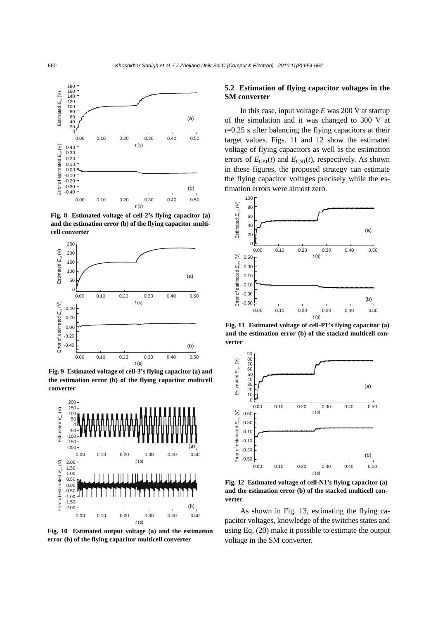

**Fig. 8 Estimated voltage of cell-2's flying capacitor (a) and the estimation error (b) of the flying capacitor multicell converter** 



**Fig. 9 Estimated voltage of cell-3's flying capacitor (a) and the estimation error (b) of the flying capacitor multicell converter** 



**Fig. 10 Estimated output voltage (a) and the estimation error (b) of the flying capacitor multicell converter** 

# **5.2 Estimation of flying capacitor voltages in the SM converter**

In this case, input voltage *E* was 200 V at startup of the simulation and it was changed to 300 V at *t*=0.25 s after balancing the flying capacitors at their target values. Figs. 11 and 12 show the estimated voltage of flying capacitors as well as the estimation errors of  $E_{\text{CP1}}(t)$  and  $E_{\text{CN1}}(t)$ , respectively. As shown in these figures, the proposed strategy can estimate the flying capacitor voltages precisely while the estimation errors were almost zero.



**Fig. 11 Estimated voltage of cell-P1's flying capacitor (a) and the estimation error (b) of the stacked multicell converter** 



**Fig. 12 Estimated voltage of cell-N1's flying capacitor (a) and the estimation error (b) of the stacked multicell converter** 

As shown in Fig. 13, estimating the flying capacitor voltages, knowledge of the switches states and using Eq. (20) make it possible to estimate the output voltage in the SM converter.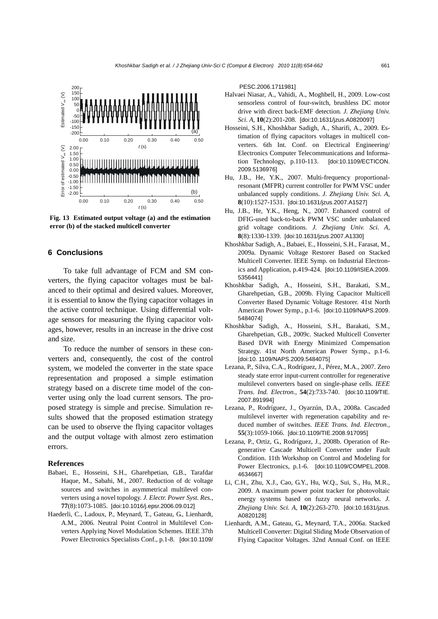

**Fig. 13 Estimated output voltage (a) and the estimation error (b) of the stacked multicell converter** 

# **6 Conclusions**

To take full advantage of FCM and SM converters, the flying capacitor voltages must be balanced to their optimal and desired values. Moreover, it is essential to know the flying capacitor voltages in the active control technique. Using differential voltage sensors for measuring the flying capacitor voltages, however, results in an increase in the drive cost and size.

To reduce the number of sensors in these converters and, consequently, the cost of the control system, we modeled the converter in the state space representation and proposed a simple estimation strategy based on a discrete time model of the converter using only the load current sensors. The proposed strategy is simple and precise. Simulation results showed that the proposed estimation strategy can be used to observe the flying capacitor voltages and the output voltage with almost zero estimation errors.

#### **References**

- Babaei, E., Hosseini, S.H., Gharehpetian, G.B., Tarafdar Haque, M., Sabahi, M., 2007. Reduction of dc voltage sources and switches in asymmetrical multilevel converters using a novel topology. *J. Electr. Power Syst. Res.*, **77**(8):1073-1085. [doi:10.1016/j.epsr.2006.09.012]
- Haederli, C., Ladoux, P., Meynard, T., Gateau, G., Lienhardt, A.M., 2006. Neutral Point Control in Multilevel Converters Applying Novel Modulation Schemes. IEEE 37th Power Electronics Specialists Conf., p.1-8. [doi:10.1109/

PESC.2006.1711981]

- Halvaei Niasar, A., Vahidi, A., Moghbell, H., 2009. Low-cost sensorless control of four-switch, brushless DC motor drive with direct back-EMF detection. *J. Zhejiang Univ. Sci. A*, **10**(2):201-208. [doi:10.1631/jzus.A0820097]
- Hosseini, S.H., Khoshkbar Sadigh, A., Sharifi, A., 2009. Estimation of flying capacitors voltages in multicell converters. 6th Int. Conf. on Electrical Engineering/ Electronics Computer Telecommunications and Information Technology, p.110-113. [doi:10.1109/ECTICON. 2009.5136976]
- Hu, J.B., He, Y.K., 2007. Multi-frequency proportionalresonant (MFPR) current controller for PWM VSC under unbalanced supply conditions. *J. Zhejiang Univ. Sci. A*, **8**(10):1527-1531. [doi:10.1631/jzus.2007.A1527]
- Hu, J.B., He, Y.K., Heng, N., 2007. Enhanced control of DFIG-used back-to-back PWM VSC under unbalanced grid voltage conditions. *J. Zhejiang Univ. Sci. A*, **8**(8):1330-1339. [doi:10.1631/jzus.2007.A1330]
- Khoshkbar Sadigh, A., Babaei, E., Hosseini, S.H., Farasat, M., 2009a. Dynamic Voltage Restorer Based on Stacked Multicell Converter. IEEE Symp. on Industrial Electronics and Application, p.419-424. [doi:10.1109/ISIEA.2009. 5356441]
- Khoshkbar Sadigh, A., Hosseini, S.H., Barakati, S.M., Gharehpetian, G.B., 2009b. Flying Capacitor Multicell Converter Based Dynamic Voltage Restorer. 41st North American Power Symp., p.1-6. [doi:10.1109/NAPS.2009. 5484074]
- Khoshkbar Sadigh, A., Hosseini, S.H., Barakati, S.M., Gharehpetian, G.B., 2009c. Stacked Multicell Converter Based DVR with Energy Minimized Compensation Strategy. 41st North American Power Symp., p.1-6. [doi:10. 1109/NAPS.2009.5484075]
- Lezana, P., Silva, C.A., Rodríguez, J., Pérez, M.A., 2007. Zero steady state error input-current controller for regenerative multilevel converters based on single-phase cells. *IEEE Trans. Ind. Electron.*, **54**(2):733-740. [doi:10.1109/TIE. 2007.891994]
- Lezana, P., Rodríguez, J., Oyarzún, D.A., 2008a. Cascaded multilevel inverter with regeneration capability and reduced number of switches. *IEEE Trans. Ind. Electron.*, **55**(3):1059-1066. [doi:10.1109/TIE.2008.917095]
- Lezana, P., Ortiz, G., Rodríguez, J., 2008b. Operation of Regenerative Cascade Multicell Converter under Fault Condition. 11th Workshop on Control and Modeling for Power Electronics, p.1-6. [doi:10.1109/COMPEL.2008. 4634667]
- Li, C.H., Zhu, X.J., Cao, G.Y., Hu, W.Q., Sui, S., Hu, M.R., 2009. A maximum power point tracker for photovoltaic energy systems based on fuzzy neural networks. *J. Zhejiang Univ. Sci. A*, **10**(2):263-270. [doi:10.1631/jzus. A0820128]
- Lienhardt, A.M., Gateau, G., Meynard, T.A., 2006a. Stacked Multicell Converter: Digital Sliding Mode Observation of Flying Capacitor Voltages. 32nd Annual Conf. on IEEE